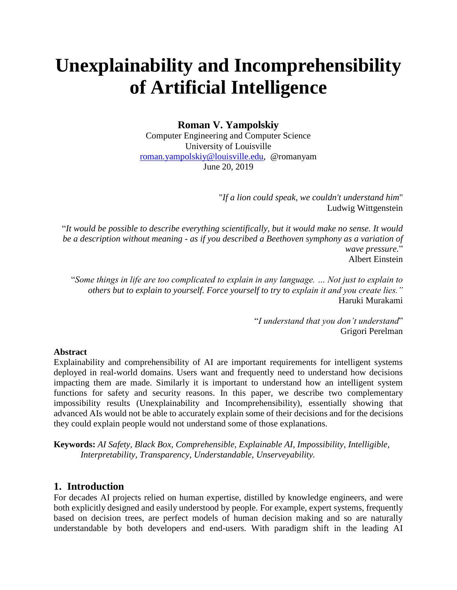# **Unexplainability and Incomprehensibility of Artificial Intelligence**

**Roman V. Yampolskiy**

Computer Engineering and Computer Science University of Louisville [roman.yampolskiy@louisville.edu,](mailto:roman.yampolskiy@louisville.edu) @romanyam June 20, 2019

> "*If a lion could speak, we couldn't understand him*" Ludwig Wittgenstein

"*It would be possible to describe everything scientifically, but it would make no sense. It would be a description without meaning - as if you described a Beethoven symphony as a variation of wave pressure.*" Albert Einstein

"*Some things in life are too complicated to explain in any language. … Not just to explain to others but to explain to yourself. Force yourself to try to explain it and you create lies."* Haruki Murakami

> "*I understand that you don't understand*" Grigori Perelman

#### **Abstract**

Explainability and comprehensibility of AI are important requirements for intelligent systems deployed in real-world domains. Users want and frequently need to understand how decisions impacting them are made. Similarly it is important to understand how an intelligent system functions for safety and security reasons. In this paper, we describe two complementary impossibility results (Unexplainability and Incomprehensibility), essentially showing that advanced AIs would not be able to accurately explain some of their decisions and for the decisions they could explain people would not understand some of those explanations.

**Keywords:** *AI Safety, Black Box, Comprehensible, Explainable AI, Impossibility, Intelligible, Interpretability, Transparency, Understandable, Unserveyability.*

#### **1. Introduction**

For decades AI projects relied on human expertise, distilled by knowledge engineers, and were both explicitly designed and easily understood by people. For example, expert systems, frequently based on decision trees, are perfect models of human decision making and so are naturally understandable by both developers and end-users. With paradigm shift in the leading AI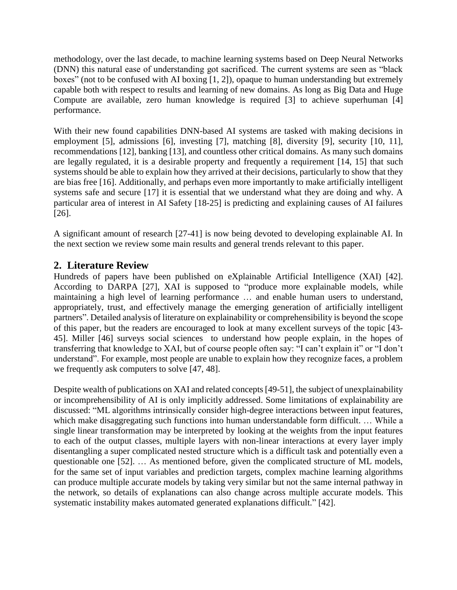methodology, over the last decade, to machine learning systems based on Deep Neural Networks (DNN) this natural ease of understanding got sacrificed. The current systems are seen as "black boxes" (not to be confused with AI boxing [1, 2]), opaque to human understanding but extremely capable both with respect to results and learning of new domains. As long as Big Data and Huge Compute are available, zero human knowledge is required [3] to achieve superhuman [4] performance.

With their new found capabilities DNN-based AI systems are tasked with making decisions in employment [5], admissions [6], investing [7], matching [8], diversity [9], security [10, 11], recommendations [12], banking [13], and countless other critical domains. As many such domains are legally regulated, it is a desirable property and frequently a requirement [14, 15] that such systems should be able to explain how they arrived at their decisions, particularly to show that they are bias free [16]. Additionally, and perhaps even more importantly to make artificially intelligent systems safe and secure [17] it is essential that we understand what they are doing and why. A particular area of interest in AI Safety [18-25] is predicting and explaining causes of AI failures [26].

A significant amount of research [27-41] is now being devoted to developing explainable AI. In the next section we review some main results and general trends relevant to this paper.

# **2. Literature Review**

Hundreds of papers have been published on eXplainable Artificial Intelligence (XAI) [42]. According to DARPA [27], XAI is supposed to "produce more explainable models, while maintaining a high level of learning performance … and enable human users to understand, appropriately, trust, and effectively manage the emerging generation of artificially intelligent partners". Detailed analysis of literature on explainability or comprehensibility is beyond the scope of this paper, but the readers are encouraged to look at many excellent surveys of the topic [43- 45]. Miller [46] surveys social sciences to understand how people explain, in the hopes of transferring that knowledge to XAI, but of course people often say: "I can't explain it" or "I don't understand". For example, most people are unable to explain how they recognize faces, a problem we frequently ask computers to solve [47, 48].

Despite wealth of publications on XAI and related concepts [49-51], the subject of unexplainability or incomprehensibility of AI is only implicitly addressed. Some limitations of explainability are discussed: "ML algorithms intrinsically consider high-degree interactions between input features, which make disaggregating such functions into human understandable form difficult. … While a single linear transformation may be interpreted by looking at the weights from the input features to each of the output classes, multiple layers with non-linear interactions at every layer imply disentangling a super complicated nested structure which is a difficult task and potentially even a questionable one [52]. … As mentioned before, given the complicated structure of ML models, for the same set of input variables and prediction targets, complex machine learning algorithms can produce multiple accurate models by taking very similar but not the same internal pathway in the network, so details of explanations can also change across multiple accurate models. This systematic instability makes automated generated explanations difficult." [42].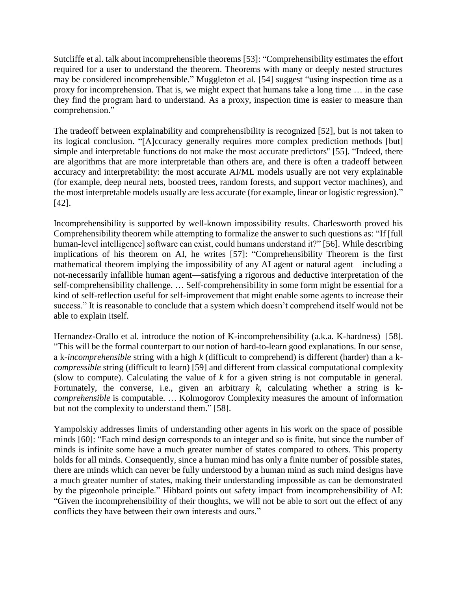Sutcliffe et al. talk about incomprehensible theorems [53]: "Comprehensibility estimates the effort required for a user to understand the theorem. Theorems with many or deeply nested structures may be considered incomprehensible." Muggleton et al. [54] suggest "using inspection time as a proxy for incomprehension. That is, we might expect that humans take a long time … in the case they find the program hard to understand. As a proxy, inspection time is easier to measure than comprehension."

The tradeoff between explainability and comprehensibility is recognized [52], but is not taken to its logical conclusion. "[A]ccuracy generally requires more complex prediction methods [but] simple and interpretable functions do not make the most accurate predictors'' [55]. "Indeed, there are algorithms that are more interpretable than others are, and there is often a tradeoff between accuracy and interpretability: the most accurate AI/ML models usually are not very explainable (for example, deep neural nets, boosted trees, random forests, and support vector machines), and the most interpretable models usually are less accurate (for example, linear or logistic regression)." [42].

Incomprehensibility is supported by well-known impossibility results. Charlesworth proved his Comprehensibility theorem while attempting to formalize the answer to such questions as: "If [full human-level intelligence] software can exist, could humans understand it?" [56]. While describing implications of his theorem on AI, he writes [57]: "Comprehensibility Theorem is the first mathematical theorem implying the impossibility of any AI agent or natural agent—including a not-necessarily infallible human agent—satisfying a rigorous and deductive interpretation of the self-comprehensibility challenge. … Self-comprehensibility in some form might be essential for a kind of self-reflection useful for self-improvement that might enable some agents to increase their success." It is reasonable to conclude that a system which doesn't comprehend itself would not be able to explain itself.

Hernandez-Orallo et al. introduce the notion of K-incomprehensibility (a.k.a. K-hardness) [58]. "This will be the formal counterpart to our notion of hard-to-learn good explanations. In our sense, a k-*incomprehensible* string with a high *k* (difficult to comprehend) is different (harder) than a k*compressible* string (difficult to learn) [59] and different from classical computational complexity (slow to compute). Calculating the value of *k* for a given string is not computable in general. Fortunately, the converse, i.e., given an arbitrary  $k$ , calculating whether a string is  $k$ *comprehensible* is computable. … Kolmogorov Complexity measures the amount of information but not the complexity to understand them." [58].

Yampolskiy addresses limits of understanding other agents in his work on the space of possible minds [60]: "Each mind design corresponds to an integer and so is finite, but since the number of minds is infinite some have a much greater number of states compared to others. This property holds for all minds. Consequently, since a human mind has only a finite number of possible states, there are minds which can never be fully understood by a human mind as such mind designs have a much greater number of states, making their understanding impossible as can be demonstrated by the pigeonhole principle." Hibbard points out safety impact from incomprehensibility of AI: "Given the incomprehensibility of their thoughts, we will not be able to sort out the effect of any conflicts they have between their own interests and ours."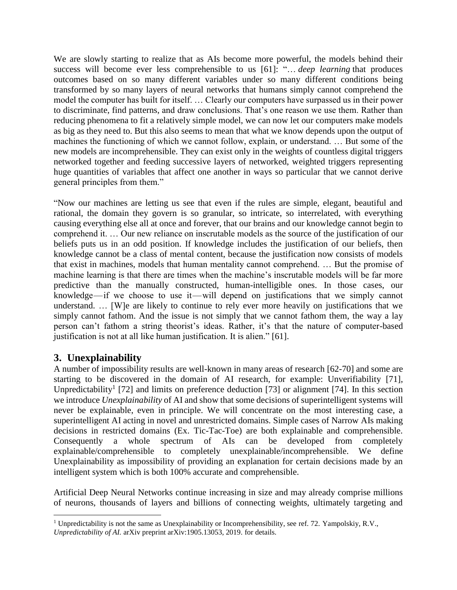We are slowly starting to realize that as AIs become more powerful, the models behind their success will become ever less comprehensible to us [61]: "… *deep learning* that produces outcomes based on so many different variables under so many different conditions being transformed by so many layers of neural networks that humans simply cannot comprehend the model the computer has built for itself. … Clearly our computers have surpassed us in their power to discriminate, find patterns, and draw conclusions. That's one reason we use them. Rather than reducing phenomena to fit a relatively simple model, we can now let our computers make models as big as they need to. But this also seems to mean that what we know depends upon the output of machines the functioning of which we cannot follow, explain, or understand. … But some of the new models are incomprehensible. They can exist only in the weights of countless digital triggers networked together and feeding successive layers of networked, weighted triggers representing huge quantities of variables that affect one another in ways so particular that we cannot derive general principles from them."

"Now our machines are letting us see that even if the rules are simple, elegant, beautiful and rational, the domain they govern is so granular, so intricate, so interrelated, with everything causing everything else all at once and forever, that our brains and our knowledge cannot begin to comprehend it. … Our new reliance on inscrutable models as the source of the justification of our beliefs puts us in an odd position. If knowledge includes the justification of our beliefs, then knowledge cannot be a class of mental content, because the justification now consists of models that exist in machines, models that human mentality cannot comprehend. … But the promise of machine learning is that there are times when the machine's inscrutable models will be far more predictive than the manually constructed, human-intelligible ones. In those cases, our knowledge—if we choose to use it—will depend on justifications that we simply cannot understand. … [W]e are likely to continue to rely ever more heavily on justifications that we simply cannot fathom. And the issue is not simply that we cannot fathom them, the way a lay person can't fathom a string theorist's ideas. Rather, it's that the nature of computer-based justification is not at all like human justification. It is alien." [61].

# **3. Unexplainability**

 $\overline{a}$ 

A number of impossibility results are well-known in many areas of research [62-70] and some are starting to be discovered in the domain of AI research, for example: Unverifiability [71], Unpredictability<sup>1</sup> [72] and limits on preference deduction [73] or alignment [74]. In this section we introduce *Unexplainability* of AI and show that some decisions of superintelligent systems will never be explainable, even in principle. We will concentrate on the most interesting case, a superintelligent AI acting in novel and unrestricted domains. Simple cases of Narrow AIs making decisions in restricted domains (Ex. Tic-Tac-Toe) are both explainable and comprehensible. Consequently a whole spectrum of AIs can be developed from completely explainable/comprehensible to completely unexplainable/incomprehensible. We define Unexplainability as impossibility of providing an explanation for certain decisions made by an intelligent system which is both 100% accurate and comprehensible.

Artificial Deep Neural Networks continue increasing in size and may already comprise millions of neurons, thousands of layers and billions of connecting weights, ultimately targeting and

<sup>&</sup>lt;sup>1</sup> Unpredictability is not the same as Unexplainability or Incomprehensibility, see ref. 72. Yampolskiy, R.V., *Unpredictability of AI.* arXiv preprint arXiv:1905.13053, 2019. for details.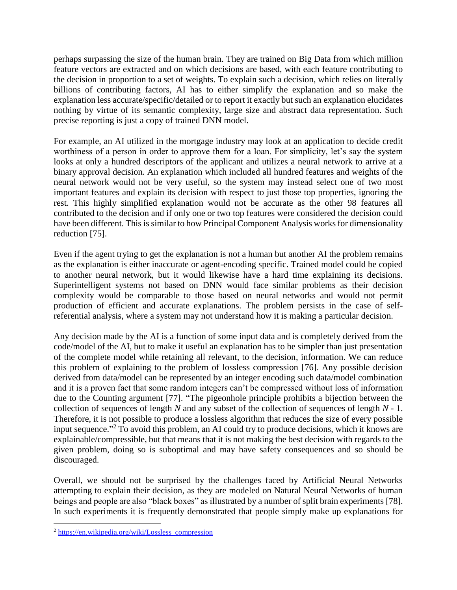perhaps surpassing the size of the human brain. They are trained on Big Data from which million feature vectors are extracted and on which decisions are based, with each feature contributing to the decision in proportion to a set of weights. To explain such a decision, which relies on literally billions of contributing factors, AI has to either simplify the explanation and so make the explanation less accurate/specific/detailed or to report it exactly but such an explanation elucidates nothing by virtue of its semantic complexity, large size and abstract data representation. Such precise reporting is just a copy of trained DNN model.

For example, an AI utilized in the mortgage industry may look at an application to decide credit worthiness of a person in order to approve them for a loan. For simplicity, let's say the system looks at only a hundred descriptors of the applicant and utilizes a neural network to arrive at a binary approval decision. An explanation which included all hundred features and weights of the neural network would not be very useful, so the system may instead select one of two most important features and explain its decision with respect to just those top properties, ignoring the rest. This highly simplified explanation would not be accurate as the other 98 features all contributed to the decision and if only one or two top features were considered the decision could have been different. This is similar to how Principal Component Analysis works for dimensionality reduction [75].

Even if the agent trying to get the explanation is not a human but another AI the problem remains as the explanation is either inaccurate or agent-encoding specific. Trained model could be copied to another neural network, but it would likewise have a hard time explaining its decisions. Superintelligent systems not based on DNN would face similar problems as their decision complexity would be comparable to those based on neural networks and would not permit production of efficient and accurate explanations. The problem persists in the case of selfreferential analysis, where a system may not understand how it is making a particular decision.

Any decision made by the AI is a function of some input data and is completely derived from the code/model of the AI, but to make it useful an explanation has to be simpler than just presentation of the complete model while retaining all relevant, to the decision, information. We can reduce this problem of explaining to the problem of lossless compression [76]. Any possible decision derived from data/model can be represented by an integer encoding such data/model combination and it is a proven fact that some random integers can't be compressed without loss of information due to the Counting argument [77]. "The pigeonhole principle prohibits a bijection between the collection of sequences of length *N* and any subset of the collection of sequences of length *N -* 1. Therefore, it is not possible to produce a lossless algorithm that reduces the size of every possible input sequence." <sup>2</sup> To avoid this problem, an AI could try to produce decisions, which it knows are explainable/compressible, but that means that it is not making the best decision with regards to the given problem, doing so is suboptimal and may have safety consequences and so should be discouraged.

Overall, we should not be surprised by the challenges faced by Artificial Neural Networks attempting to explain their decision, as they are modeled on Natural Neural Networks of human beings and people are also "black boxes" as illustrated by a number of split brain experiments [78]. In such experiments it is frequently demonstrated that people simply make up explanations for

 $\overline{a}$ 

<sup>2</sup> [https://en.wikipedia.org/wiki/Lossless\\_compression](https://en.wikipedia.org/wiki/Lossless_compression)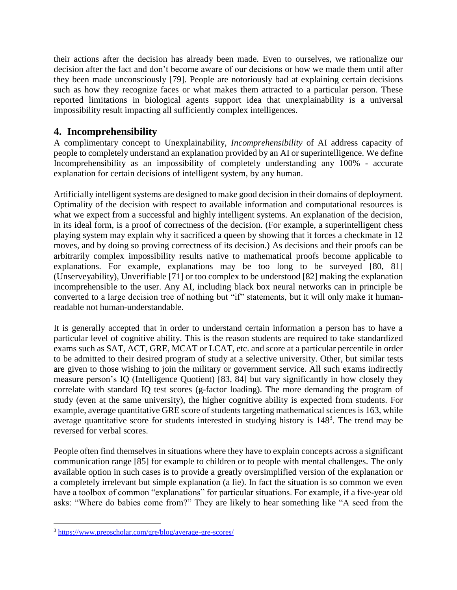their actions after the decision has already been made. Even to ourselves, we rationalize our decision after the fact and don't become aware of our decisions or how we made them until after they been made unconsciously [79]. People are notoriously bad at explaining certain decisions such as how they recognize faces or what makes them attracted to a particular person. These reported limitations in biological agents support idea that unexplainability is a universal impossibility result impacting all sufficiently complex intelligences.

# **4. Incomprehensibility**

A complimentary concept to Unexplainability, *Incomprehensibility* of AI address capacity of people to completely understand an explanation provided by an AI or superintelligence. We define Incomprehensibility as an impossibility of completely understanding any 100% - accurate explanation for certain decisions of intelligent system, by any human.

Artificially intelligent systems are designed to make good decision in their domains of deployment. Optimality of the decision with respect to available information and computational resources is what we expect from a successful and highly intelligent systems. An explanation of the decision, in its ideal form, is a proof of correctness of the decision. (For example, a superintelligent chess playing system may explain why it sacrificed a queen by showing that it forces a checkmate in 12 moves, and by doing so proving correctness of its decision.) As decisions and their proofs can be arbitrarily complex impossibility results native to mathematical proofs become applicable to explanations. For example, explanations may be too long to be surveyed [80, 81] (Unserveyability), Unverifiable [71] or too complex to be understood [82] making the explanation incomprehensible to the user. Any AI, including black box neural networks can in principle be converted to a large decision tree of nothing but "if" statements, but it will only make it humanreadable not human-understandable.

It is generally accepted that in order to understand certain information a person has to have a particular level of cognitive ability. This is the reason students are required to take standardized exams such as SAT, ACT, GRE, MCAT or LCAT, etc. and score at a particular percentile in order to be admitted to their desired program of study at a selective university. Other, but similar tests are given to those wishing to join the military or government service. All such exams indirectly measure person's IQ (Intelligence Quotient) [83, 84] but vary significantly in how closely they correlate with standard IQ test scores (g-factor loading). The more demanding the program of study (even at the same university), the higher cognitive ability is expected from students. For example, average quantitative GRE score of students targeting mathematical sciences is 163, while average quantitative score for students interested in studying history is  $148<sup>3</sup>$ . The trend may be reversed for verbal scores.

People often find themselves in situations where they have to explain concepts across a significant communication range [85] for example to children or to people with mental challenges. The only available option in such cases is to provide a greatly oversimplified version of the explanation or a completely irrelevant but simple explanation (a lie). In fact the situation is so common we even have a toolbox of common "explanations" for particular situations. For example, if a five-year old asks: "Where do babies come from?" They are likely to hear something like "A seed from the

 $\overline{a}$ 

<sup>3</sup> <https://www.prepscholar.com/gre/blog/average-gre-scores/>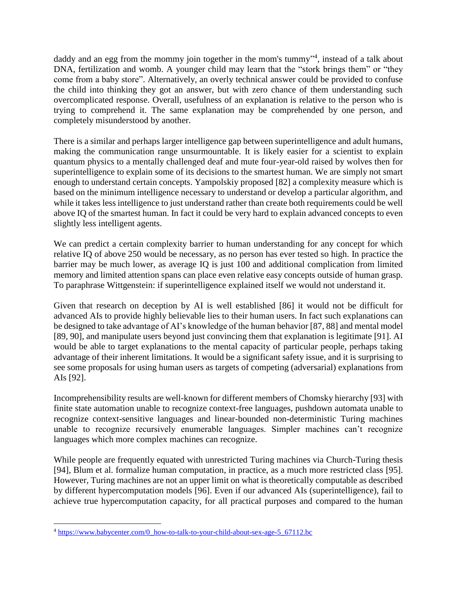daddy and an egg from the mommy join together in the mom's tummy"<sup>4</sup>, instead of a talk about DNA, fertilization and womb. A younger child may learn that the "stork brings them" or "they come from a baby store". Alternatively, an overly technical answer could be provided to confuse the child into thinking they got an answer, but with zero chance of them understanding such overcomplicated response. Overall, usefulness of an explanation is relative to the person who is trying to comprehend it. The same explanation may be comprehended by one person, and completely misunderstood by another.

There is a similar and perhaps larger intelligence gap between superintelligence and adult humans, making the communication range unsurmountable. It is likely easier for a scientist to explain quantum physics to a mentally challenged deaf and mute four-year-old raised by wolves then for superintelligence to explain some of its decisions to the smartest human. We are simply not smart enough to understand certain concepts. Yampolskiy proposed [82] a complexity measure which is based on the minimum intelligence necessary to understand or develop a particular algorithm, and while it takes less intelligence to just understand rather than create both requirements could be well above IQ of the smartest human. In fact it could be very hard to explain advanced concepts to even slightly less intelligent agents.

We can predict a certain complexity barrier to human understanding for any concept for which relative IQ of above 250 would be necessary, as no person has ever tested so high. In practice the barrier may be much lower, as average IQ is just 100 and additional complication from limited memory and limited attention spans can place even relative easy concepts outside of human grasp. To paraphrase Wittgenstein: if superintelligence explained itself we would not understand it.

Given that research on deception by AI is well established [86] it would not be difficult for advanced AIs to provide highly believable lies to their human users. In fact such explanations can be designed to take advantage of AI's knowledge of the human behavior [87, 88] and mental model [89, 90], and manipulate users beyond just convincing them that explanation is legitimate [91]. AI would be able to target explanations to the mental capacity of particular people, perhaps taking advantage of their inherent limitations. It would be a significant safety issue, and it is surprising to see some proposals for using human users as targets of competing (adversarial) explanations from AIs [92].

Incomprehensibility results are well-known for different members of Chomsky hierarchy [93] with finite state automation unable to recognize context-free languages, pushdown automata unable to recognize context-sensitive languages and linear-bounded non-deterministic Turing machines unable to recognize recursively enumerable languages. Simpler machines can't recognize languages which more complex machines can recognize.

While people are frequently equated with unrestricted Turing machines via Church-Turing thesis [94], Blum et al. formalize human computation, in practice, as a much more restricted class [95]. However, Turing machines are not an upper limit on what is theoretically computable as described by different hypercomputation models [96]. Even if our advanced AIs (superintelligence), fail to achieve true hypercomputation capacity, for all practical purposes and compared to the human

 $\overline{a}$ 

<sup>4</sup> [https://www.babycenter.com/0\\_how-to-talk-to-your-child-about-sex-age-5\\_67112.bc](https://www.babycenter.com/0_how-to-talk-to-your-child-about-sex-age-5_67112.bc)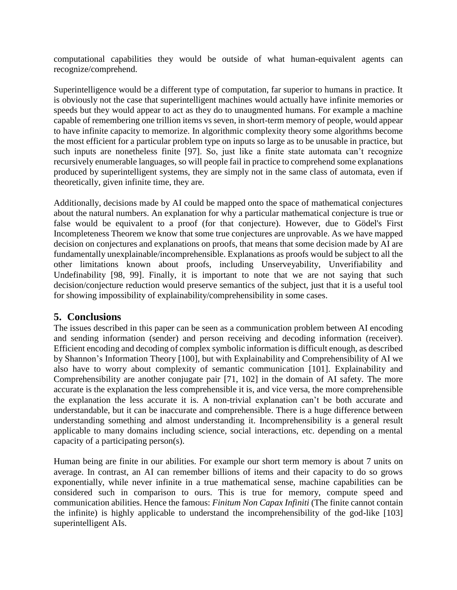computational capabilities they would be outside of what human-equivalent agents can recognize/comprehend.

Superintelligence would be a different type of computation, far superior to humans in practice. It is obviously not the case that superintelligent machines would actually have infinite memories or speeds but they would appear to act as they do to unaugmented humans. For example a machine capable of remembering one trillion items vs seven, in short-term memory of people, would appear to have infinite capacity to memorize. In algorithmic complexity theory some algorithms become the most efficient for a particular problem type on inputs so large as to be unusable in practice, but such inputs are nonetheless finite [97]. So, just like a finite state automata can't recognize recursively enumerable languages, so will people fail in practice to comprehend some explanations produced by superintelligent systems, they are simply not in the same class of automata, even if theoretically, given infinite time, they are.

Additionally, decisions made by AI could be mapped onto the space of mathematical conjectures about the natural numbers. An explanation for why a particular mathematical conjecture is true or false would be equivalent to a proof (for that conjecture). However, due to Gödel's First Incompleteness Theorem we know that some true conjectures are unprovable. As we have mapped decision on conjectures and explanations on proofs, that means that some decision made by AI are fundamentally unexplainable/incomprehensible. Explanations as proofs would be subject to all the other limitations known about proofs, including Unserveyability, Unverifiability and Undefinability [98, 99]. Finally, it is important to note that we are not saying that such decision/conjecture reduction would preserve semantics of the subject, just that it is a useful tool for showing impossibility of explainability/comprehensibility in some cases.

# **5. Conclusions**

The issues described in this paper can be seen as a communication problem between AI encoding and sending information (sender) and person receiving and decoding information (receiver). Efficient encoding and decoding of complex symbolic information is difficult enough, as described by Shannon's Information Theory [100], but with Explainability and Comprehensibility of AI we also have to worry about complexity of semantic communication [101]. Explainability and Comprehensibility are another conjugate pair [71, 102] in the domain of AI safety. The more accurate is the explanation the less comprehensible it is, and vice versa, the more comprehensible the explanation the less accurate it is. A non-trivial explanation can't be both accurate and understandable, but it can be inaccurate and comprehensible. There is a huge difference between understanding something and almost understanding it. Incomprehensibility is a general result applicable to many domains including science, social interactions, etc. depending on a mental capacity of a participating person(s).

Human being are finite in our abilities. For example our short term memory is about 7 units on average. In contrast, an AI can remember billions of items and their capacity to do so grows exponentially, while never infinite in a true mathematical sense, machine capabilities can be considered such in comparison to ours. This is true for memory, compute speed and communication abilities. Hence the famous: *Finitum Non Capax Infiniti* (The finite cannot contain the infinite) is highly applicable to understand the incomprehensibility of the god-like [103] superintelligent AIs.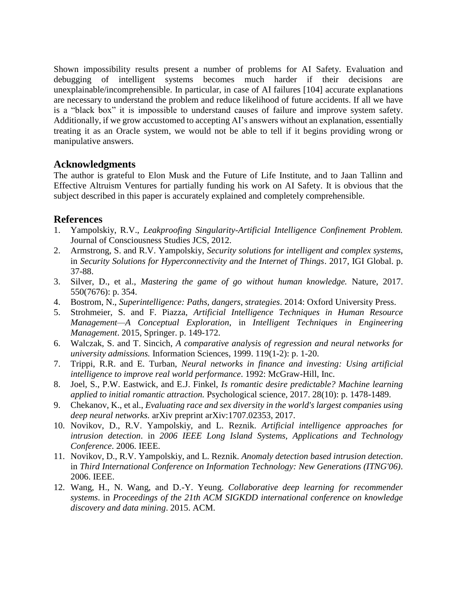Shown impossibility results present a number of problems for AI Safety. Evaluation and debugging of intelligent systems becomes much harder if their decisions are unexplainable/incomprehensible. In particular, in case of AI failures [104] accurate explanations are necessary to understand the problem and reduce likelihood of future accidents. If all we have is a "black box" it is impossible to understand causes of failure and improve system safety. Additionally, if we grow accustomed to accepting AI's answers without an explanation, essentially treating it as an Oracle system, we would not be able to tell if it begins providing wrong or manipulative answers.

# **Acknowledgments**

The author is grateful to Elon Musk and the Future of Life Institute, and to Jaan Tallinn and Effective Altruism Ventures for partially funding his work on AI Safety. It is obvious that the subject described in this paper is accurately explained and completely comprehensible.

# **References**

- 1. Yampolskiy, R.V., *Leakproofing Singularity-Artificial Intelligence Confinement Problem.* Journal of Consciousness Studies JCS, 2012.
- 2. Armstrong, S. and R.V. Yampolskiy, *Security solutions for intelligent and complex systems*, in *Security Solutions for Hyperconnectivity and the Internet of Things*. 2017, IGI Global. p. 37-88.
- 3. Silver, D., et al., *Mastering the game of go without human knowledge.* Nature, 2017. 550(7676): p. 354.
- 4. Bostrom, N., *Superintelligence: Paths, dangers, strategies*. 2014: Oxford University Press.
- 5. Strohmeier, S. and F. Piazza, *Artificial Intelligence Techniques in Human Resource Management—A Conceptual Exploration*, in *Intelligent Techniques in Engineering Management*. 2015, Springer. p. 149-172.
- 6. Walczak, S. and T. Sincich, *A comparative analysis of regression and neural networks for university admissions.* Information Sciences, 1999. 119(1-2): p. 1-20.
- 7. Trippi, R.R. and E. Turban, *Neural networks in finance and investing: Using artificial intelligence to improve real world performance*. 1992: McGraw-Hill, Inc.
- 8. Joel, S., P.W. Eastwick, and E.J. Finkel, *Is romantic desire predictable? Machine learning applied to initial romantic attraction.* Psychological science, 2017. 28(10): p. 1478-1489.
- 9. Chekanov, K., et al., *Evaluating race and sex diversity in the world's largest companies using deep neural networks.* arXiv preprint arXiv:1707.02353, 2017.
- 10. Novikov, D., R.V. Yampolskiy, and L. Reznik. *Artificial intelligence approaches for intrusion detection*. in *2006 IEEE Long Island Systems, Applications and Technology Conference*. 2006. IEEE.
- 11. Novikov, D., R.V. Yampolskiy, and L. Reznik. *Anomaly detection based intrusion detection*. in *Third International Conference on Information Technology: New Generations (ITNG'06)*. 2006. IEEE.
- 12. Wang, H., N. Wang, and D.-Y. Yeung. *Collaborative deep learning for recommender systems*. in *Proceedings of the 21th ACM SIGKDD international conference on knowledge discovery and data mining*. 2015. ACM.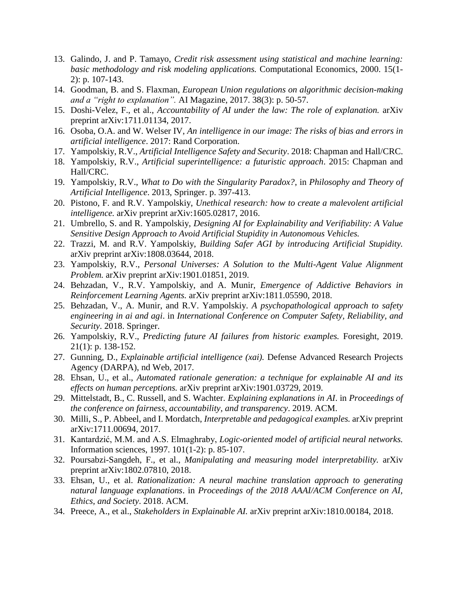- 13. Galindo, J. and P. Tamayo, *Credit risk assessment using statistical and machine learning: basic methodology and risk modeling applications.* Computational Economics, 2000. 15(1- 2): p. 107-143.
- 14. Goodman, B. and S. Flaxman, *European Union regulations on algorithmic decision-making and a "right to explanation".* AI Magazine, 2017. 38(3): p. 50-57.
- 15. Doshi-Velez, F., et al., *Accountability of AI under the law: The role of explanation.* arXiv preprint arXiv:1711.01134, 2017.
- 16. Osoba, O.A. and W. Welser IV, *An intelligence in our image: The risks of bias and errors in artificial intelligence*. 2017: Rand Corporation.
- 17. Yampolskiy, R.V., *Artificial Intelligence Safety and Security*. 2018: Chapman and Hall/CRC.
- 18. Yampolskiy, R.V., *Artificial superintelligence: a futuristic approach*. 2015: Chapman and Hall/CRC.
- 19. Yampolskiy, R.V., *What to Do with the Singularity Paradox?*, in *Philosophy and Theory of Artificial Intelligence*. 2013, Springer. p. 397-413.
- 20. Pistono, F. and R.V. Yampolskiy, *Unethical research: how to create a malevolent artificial intelligence.* arXiv preprint arXiv:1605.02817, 2016.
- 21. Umbrello, S. and R. Yampolskiy, *Designing AI for Explainability and Verifiability: A Value Sensitive Design Approach to Avoid Artificial Stupidity in Autonomous Vehicles.*
- 22. Trazzi, M. and R.V. Yampolskiy, *Building Safer AGI by introducing Artificial Stupidity.* arXiv preprint arXiv:1808.03644, 2018.
- 23. Yampolskiy, R.V., *Personal Universes: A Solution to the Multi-Agent Value Alignment Problem.* arXiv preprint arXiv:1901.01851, 2019.
- 24. Behzadan, V., R.V. Yampolskiy, and A. Munir, *Emergence of Addictive Behaviors in Reinforcement Learning Agents.* arXiv preprint arXiv:1811.05590, 2018.
- 25. Behzadan, V., A. Munir, and R.V. Yampolskiy. *A psychopathological approach to safety engineering in ai and agi*. in *International Conference on Computer Safety, Reliability, and Security*. 2018. Springer.
- 26. Yampolskiy, R.V., *Predicting future AI failures from historic examples.* Foresight, 2019. 21(1): p. 138-152.
- 27. Gunning, D., *Explainable artificial intelligence (xai).* Defense Advanced Research Projects Agency (DARPA), nd Web, 2017.
- 28. Ehsan, U., et al., *Automated rationale generation: a technique for explainable AI and its effects on human perceptions.* arXiv preprint arXiv:1901.03729, 2019.
- 29. Mittelstadt, B., C. Russell, and S. Wachter. *Explaining explanations in AI*. in *Proceedings of the conference on fairness, accountability, and transparency*. 2019. ACM.
- 30. Milli, S., P. Abbeel, and I. Mordatch, *Interpretable and pedagogical examples.* arXiv preprint arXiv:1711.00694, 2017.
- 31. Kantardzić, M.M. and A.S. Elmaghraby, *Logic-oriented model of artificial neural networks.* Information sciences, 1997. 101(1-2): p. 85-107.
- 32. Poursabzi-Sangdeh, F., et al., *Manipulating and measuring model interpretability.* arXiv preprint arXiv:1802.07810, 2018.
- 33. Ehsan, U., et al. *Rationalization: A neural machine translation approach to generating natural language explanations*. in *Proceedings of the 2018 AAAI/ACM Conference on AI, Ethics, and Society*. 2018. ACM.
- 34. Preece, A., et al., *Stakeholders in Explainable AI.* arXiv preprint arXiv:1810.00184, 2018.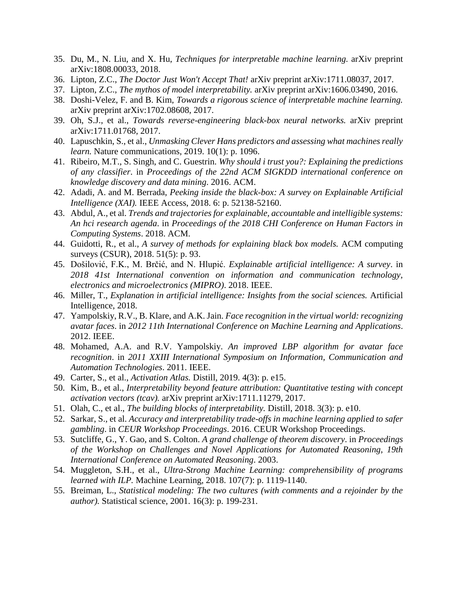- 35. Du, M., N. Liu, and X. Hu, *Techniques for interpretable machine learning.* arXiv preprint arXiv:1808.00033, 2018.
- 36. Lipton, Z.C., *The Doctor Just Won't Accept That!* arXiv preprint arXiv:1711.08037, 2017.
- 37. Lipton, Z.C., *The mythos of model interpretability.* arXiv preprint arXiv:1606.03490, 2016.
- 38. Doshi-Velez, F. and B. Kim, *Towards a rigorous science of interpretable machine learning.* arXiv preprint arXiv:1702.08608, 2017.
- 39. Oh, S.J., et al., *Towards reverse-engineering black-box neural networks.* arXiv preprint arXiv:1711.01768, 2017.
- 40. Lapuschkin, S., et al., *Unmasking Clever Hans predictors and assessing what machines really learn.* Nature communications, 2019. 10(1): p. 1096.
- 41. Ribeiro, M.T., S. Singh, and C. Guestrin. *Why should i trust you?: Explaining the predictions of any classifier*. in *Proceedings of the 22nd ACM SIGKDD international conference on knowledge discovery and data mining*. 2016. ACM.
- 42. Adadi, A. and M. Berrada, *Peeking inside the black-box: A survey on Explainable Artificial Intelligence (XAI).* IEEE Access, 2018. 6: p. 52138-52160.
- 43. Abdul, A., et al. *Trends and trajectories for explainable, accountable and intelligible systems: An hci research agenda*. in *Proceedings of the 2018 CHI Conference on Human Factors in Computing Systems*. 2018. ACM.
- 44. Guidotti, R., et al., *A survey of methods for explaining black box models.* ACM computing surveys (CSUR), 2018. 51(5): p. 93.
- 45. Došilović, F.K., M. Brčić, and N. Hlupić. *Explainable artificial intelligence: A survey*. in *2018 41st International convention on information and communication technology, electronics and microelectronics (MIPRO)*. 2018. IEEE.
- 46. Miller, T., *Explanation in artificial intelligence: Insights from the social sciences.* Artificial Intelligence, 2018.
- 47. Yampolskiy, R.V., B. Klare, and A.K. Jain. *Face recognition in the virtual world: recognizing avatar faces*. in *2012 11th International Conference on Machine Learning and Applications*. 2012. IEEE.
- 48. Mohamed, A.A. and R.V. Yampolskiy. *An improved LBP algorithm for avatar face recognition*. in *2011 XXIII International Symposium on Information, Communication and Automation Technologies*. 2011. IEEE.
- 49. Carter, S., et al., *Activation Atlas.* Distill, 2019. 4(3): p. e15.
- 50. Kim, B., et al., *Interpretability beyond feature attribution: Quantitative testing with concept activation vectors (tcav).* arXiv preprint arXiv:1711.11279, 2017.
- 51. Olah, C., et al., *The building blocks of interpretability.* Distill, 2018. 3(3): p. e10.
- 52. Sarkar, S., et al. *Accuracy and interpretability trade-offs in machine learning applied to safer gambling*. in *CEUR Workshop Proceedings*. 2016. CEUR Workshop Proceedings.
- 53. Sutcliffe, G., Y. Gao, and S. Colton. *A grand challenge of theorem discovery*. in *Proceedings of the Workshop on Challenges and Novel Applications for Automated Reasoning, 19th International Conference on Automated Reasoning*. 2003.
- 54. Muggleton, S.H., et al., *Ultra-Strong Machine Learning: comprehensibility of programs learned with ILP.* Machine Learning, 2018. 107(7): p. 1119-1140.
- 55. Breiman, L., *Statistical modeling: The two cultures (with comments and a rejoinder by the author).* Statistical science, 2001. 16(3): p. 199-231.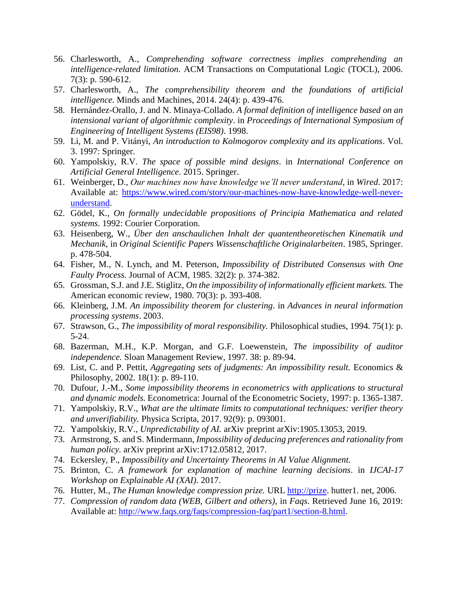- 56. Charlesworth, A., *Comprehending software correctness implies comprehending an intelligence-related limitation.* ACM Transactions on Computational Logic (TOCL), 2006. 7(3): p. 590-612.
- 57. Charlesworth, A., *The comprehensibility theorem and the foundations of artificial intelligence.* Minds and Machines, 2014. 24(4): p. 439-476.
- 58. Hernández-Orallo, J. and N. Minaya-Collado. *A formal definition of intelligence based on an intensional variant of algorithmic complexity*. in *Proceedings of International Symposium of Engineering of Intelligent Systems (EIS98)*. 1998.
- 59. Li, M. and P. Vitányi, *An introduction to Kolmogorov complexity and its applications*. Vol. 3. 1997: Springer.
- 60. Yampolskiy, R.V. *The space of possible mind designs*. in *International Conference on Artificial General Intelligence*. 2015. Springer.
- 61. Weinberger, D., *Our machines now have knowledge we'll never understand*, in *Wired*. 2017: Available at: [https://www.wired.com/story/our-machines-now-have-knowledge-well-never](https://www.wired.com/story/our-machines-now-have-knowledge-well-never-understand)[understand.](https://www.wired.com/story/our-machines-now-have-knowledge-well-never-understand)
- 62. Gödel, K., *On formally undecidable propositions of Principia Mathematica and related systems*. 1992: Courier Corporation.
- 63. Heisenberg, W., *Über den anschaulichen Inhalt der quantentheoretischen Kinematik und Mechanik*, in *Original Scientific Papers Wissenschaftliche Originalarbeiten*. 1985, Springer. p. 478-504.
- 64. Fisher, M., N. Lynch, and M. Peterson, *Impossibility of Distributed Consensus with One Faulty Process.* Journal of ACM, 1985. 32(2): p. 374-382.
- 65. Grossman, S.J. and J.E. Stiglitz, *On the impossibility of informationally efficient markets.* The American economic review, 1980. 70(3): p. 393-408.
- 66. Kleinberg, J.M. *An impossibility theorem for clustering*. in *Advances in neural information processing systems*. 2003.
- 67. Strawson, G., *The impossibility of moral responsibility.* Philosophical studies, 1994. 75(1): p. 5-24.
- 68. Bazerman, M.H., K.P. Morgan, and G.F. Loewenstein, *The impossibility of auditor independence.* Sloan Management Review, 1997. 38: p. 89-94.
- 69. List, C. and P. Pettit, *Aggregating sets of judgments: An impossibility result.* Economics & Philosophy, 2002. 18(1): p. 89-110.
- 70. Dufour, J.-M., *Some impossibility theorems in econometrics with applications to structural and dynamic models.* Econometrica: Journal of the Econometric Society, 1997: p. 1365-1387.
- 71. Yampolskiy, R.V., *What are the ultimate limits to computational techniques: verifier theory and unverifiability.* Physica Scripta, 2017. 92(9): p. 093001.
- 72. Yampolskiy, R.V., *Unpredictability of AI.* arXiv preprint arXiv:1905.13053, 2019.
- 73. Armstrong, S. and S. Mindermann, *Impossibility of deducing preferences and rationality from human policy.* arXiv preprint arXiv:1712.05812, 2017.
- 74. Eckersley, P., *Impossibility and Uncertainty Theorems in AI Value Alignment.*
- 75. Brinton, C. *A framework for explanation of machine learning decisions*. in *IJCAI-17 Workshop on Explainable AI (XAI)*. 2017.
- 76. Hutter, M., *The Human knowledge compression prize.* URL [http://prize.](http://prize/) hutter1. net, 2006.
- 77. *Compression of random data (WEB, Gilbert and others)*, in *Faqs*. Retrieved June 16, 2019: Available at: [http://www.faqs.org/faqs/compression-faq/part1/section-8.html.](http://www.faqs.org/faqs/compression-faq/part1/section-8.html)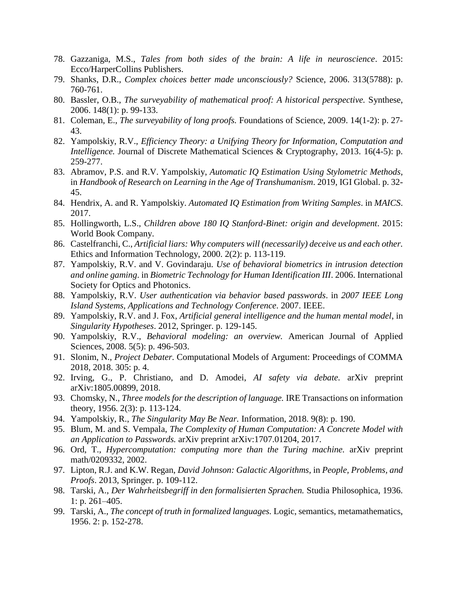- 78. Gazzaniga, M.S., *Tales from both sides of the brain: A life in neuroscience*. 2015: Ecco/HarperCollins Publishers.
- 79. Shanks, D.R., *Complex choices better made unconsciously?* Science, 2006. 313(5788): p. 760-761.
- 80. Bassler, O.B., *The surveyability of mathematical proof: A historical perspective.* Synthese, 2006. 148(1): p. 99-133.
- 81. Coleman, E., *The surveyability of long proofs.* Foundations of Science, 2009. 14(1-2): p. 27- 43.
- 82. Yampolskiy, R.V., *Efficiency Theory: a Unifying Theory for Information, Computation and Intelligence*. Journal of Discrete Mathematical Sciences & Cryptography, 2013. 16(4-5): p. 259-277.
- 83. Abramov, P.S. and R.V. Yampolskiy, *Automatic IQ Estimation Using Stylometric Methods*, in *Handbook of Research on Learning in the Age of Transhumanism*. 2019, IGI Global. p. 32- 45.
- 84. Hendrix, A. and R. Yampolskiy. *Automated IQ Estimation from Writing Samples*. in *MAICS*. 2017.
- 85. Hollingworth, L.S., *Children above 180 IQ Stanford-Binet: origin and development*. 2015: World Book Company.
- 86. Castelfranchi, C., *Artificial liars: Why computers will (necessarily) deceive us and each other.* Ethics and Information Technology, 2000. 2(2): p. 113-119.
- 87. Yampolskiy, R.V. and V. Govindaraju. *Use of behavioral biometrics in intrusion detection and online gaming*. in *Biometric Technology for Human Identification III*. 2006. International Society for Optics and Photonics.
- 88. Yampolskiy, R.V. *User authentication via behavior based passwords*. in *2007 IEEE Long Island Systems, Applications and Technology Conference*. 2007. IEEE.
- 89. Yampolskiy, R.V. and J. Fox, *Artificial general intelligence and the human mental model*, in *Singularity Hypotheses*. 2012, Springer. p. 129-145.
- 90. Yampolskiy, R.V., *Behavioral modeling: an overview.* American Journal of Applied Sciences, 2008. 5(5): p. 496-503.
- 91. Slonim, N., *Project Debater.* Computational Models of Argument: Proceedings of COMMA 2018, 2018. 305: p. 4.
- 92. Irving, G., P. Christiano, and D. Amodei, *AI safety via debate.* arXiv preprint arXiv:1805.00899, 2018.
- 93. Chomsky, N., *Three models for the description of language.* IRE Transactions on information theory, 1956. 2(3): p. 113-124.
- 94. Yampolskiy, R., *The Singularity May Be Near.* Information, 2018. 9(8): p. 190.
- 95. Blum, M. and S. Vempala, *The Complexity of Human Computation: A Concrete Model with an Application to Passwords.* arXiv preprint arXiv:1707.01204, 2017.
- 96. Ord, T., *Hypercomputation: computing more than the Turing machine.* arXiv preprint math/0209332, 2002.
- 97. Lipton, R.J. and K.W. Regan, *David Johnson: Galactic Algorithms*, in *People, Problems, and Proofs*. 2013, Springer. p. 109-112.
- 98. Tarski, A., *Der Wahrheitsbegriff in den formalisierten Sprachen.* Studia Philosophica, 1936. 1: p. 261–405.
- 99. Tarski, A., *The concept of truth in formalized languages.* Logic, semantics, metamathematics, 1956. 2: p. 152-278.